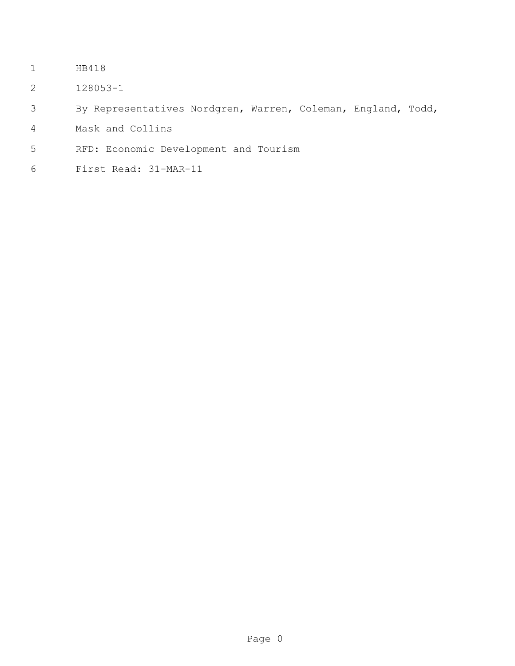- HB418
- 128053-1
- By Representatives Nordgren, Warren, Coleman, England, Todd,
- Mask and Collins
- RFD: Economic Development and Tourism
- First Read: 31-MAR-11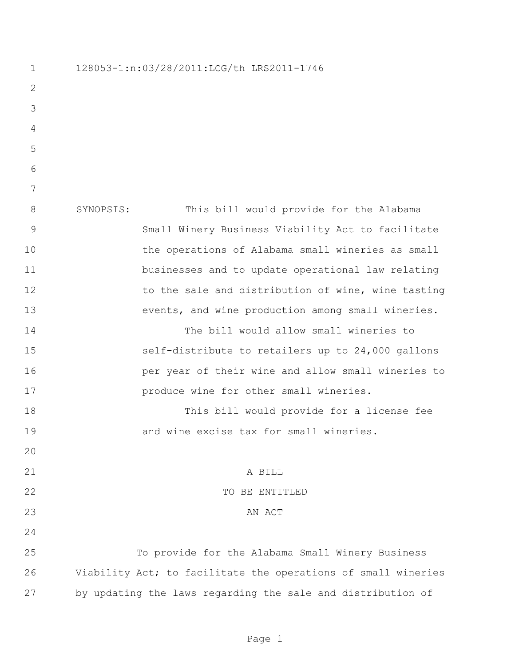128053-1:n:03/28/2011:LCG/th LRS2011-1746 SYNOPSIS: This bill would provide for the Alabama Small Winery Business Viability Act to facilitate the operations of Alabama small wineries as small businesses and to update operational law relating 12 to the sale and distribution of wine, wine tasting events, and wine production among small wineries. The bill would allow small wineries to self-distribute to retailers up to 24,000 gallons per year of their wine and allow small wineries to **produce wine for other small wineries.**  This bill would provide for a license fee 19 and wine excise tax for small wineries. A BILL TO BE ENTITLED AN ACT To provide for the Alabama Small Winery Business Viability Act; to facilitate the operations of small wineries by updating the laws regarding the sale and distribution of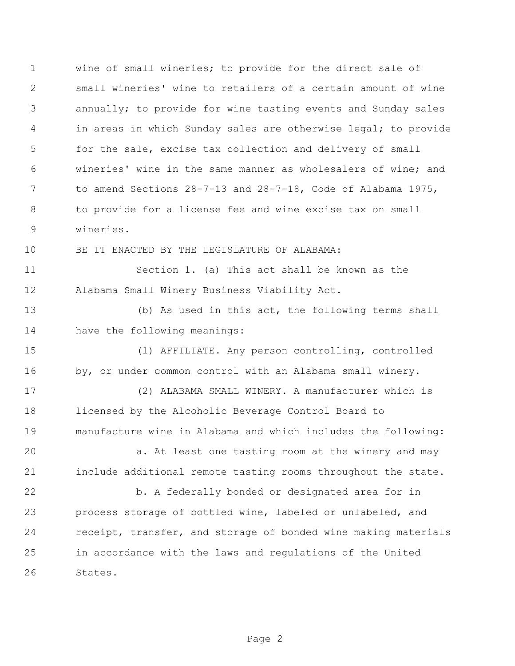wine of small wineries; to provide for the direct sale of small wineries' wine to retailers of a certain amount of wine annually; to provide for wine tasting events and Sunday sales in areas in which Sunday sales are otherwise legal; to provide for the sale, excise tax collection and delivery of small wineries' wine in the same manner as wholesalers of wine; and to amend Sections 28-7-13 and 28-7-18, Code of Alabama 1975, to provide for a license fee and wine excise tax on small wineries. BE IT ENACTED BY THE LEGISLATURE OF ALABAMA: Section 1. (a) This act shall be known as the Alabama Small Winery Business Viability Act. (b) As used in this act, the following terms shall have the following meanings: (1) AFFILIATE. Any person controlling, controlled by, or under common control with an Alabama small winery. (2) ALABAMA SMALL WINERY. A manufacturer which is licensed by the Alcoholic Beverage Control Board to manufacture wine in Alabama and which includes the following: a. At least one tasting room at the winery and may include additional remote tasting rooms throughout the state. b. A federally bonded or designated area for in process storage of bottled wine, labeled or unlabeled, and receipt, transfer, and storage of bonded wine making materials in accordance with the laws and regulations of the United States.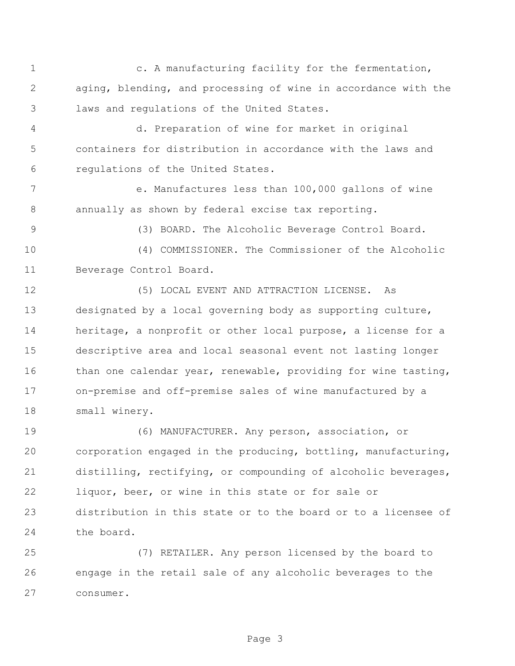c. A manufacturing facility for the fermentation, aging, blending, and processing of wine in accordance with the laws and regulations of the United States.

 d. Preparation of wine for market in original containers for distribution in accordance with the laws and regulations of the United States.

 e. Manufactures less than 100,000 gallons of wine annually as shown by federal excise tax reporting.

(3) BOARD. The Alcoholic Beverage Control Board.

 (4) COMMISSIONER. The Commissioner of the Alcoholic Beverage Control Board.

 (5) LOCAL EVENT AND ATTRACTION LICENSE. As designated by a local governing body as supporting culture, heritage, a nonprofit or other local purpose, a license for a descriptive area and local seasonal event not lasting longer 16 than one calendar year, renewable, providing for wine tasting, on-premise and off-premise sales of wine manufactured by a small winery.

 (6) MANUFACTURER. Any person, association, or corporation engaged in the producing, bottling, manufacturing, distilling, rectifying, or compounding of alcoholic beverages, liquor, beer, or wine in this state or for sale or distribution in this state or to the board or to a licensee of the board.

 (7) RETAILER. Any person licensed by the board to engage in the retail sale of any alcoholic beverages to the consumer.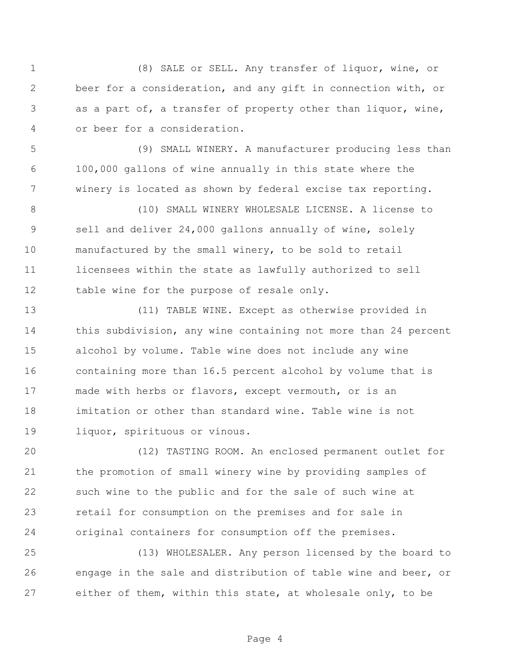(8) SALE or SELL. Any transfer of liquor, wine, or beer for a consideration, and any gift in connection with, or as a part of, a transfer of property other than liquor, wine, or beer for a consideration.

 (9) SMALL WINERY. A manufacturer producing less than 100,000 gallons of wine annually in this state where the winery is located as shown by federal excise tax reporting.

 (10) SMALL WINERY WHOLESALE LICENSE. A license to sell and deliver 24,000 gallons annually of wine, solely manufactured by the small winery, to be sold to retail licensees within the state as lawfully authorized to sell 12 table wine for the purpose of resale only.

 (11) TABLE WINE. Except as otherwise provided in 14 this subdivision, any wine containing not more than 24 percent alcohol by volume. Table wine does not include any wine containing more than 16.5 percent alcohol by volume that is made with herbs or flavors, except vermouth, or is an imitation or other than standard wine. Table wine is not liquor, spirituous or vinous.

 (12) TASTING ROOM. An enclosed permanent outlet for the promotion of small winery wine by providing samples of such wine to the public and for the sale of such wine at retail for consumption on the premises and for sale in original containers for consumption off the premises.

 (13) WHOLESALER. Any person licensed by the board to engage in the sale and distribution of table wine and beer, or either of them, within this state, at wholesale only, to be

Page 4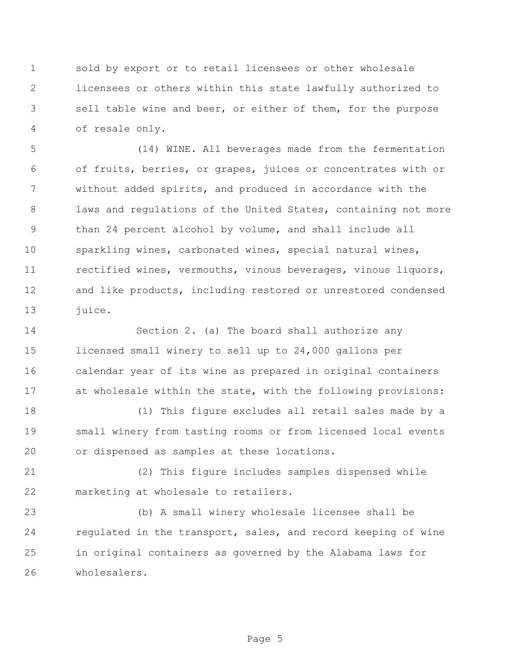sold by export or to retail licensees or other wholesale licensees or others within this state lawfully authorized to sell table wine and beer, or either of them, for the purpose of resale only.

 (14) WINE. All beverages made from the fermentation of fruits, berries, or grapes, juices or concentrates with or without added spirits, and produced in accordance with the 8 laws and regulations of the United States, containing not more than 24 percent alcohol by volume, and shall include all sparkling wines, carbonated wines, special natural wines, rectified wines, vermouths, vinous beverages, vinous liquors, and like products, including restored or unrestored condensed 13 juice.

 Section 2. (a) The board shall authorize any licensed small winery to sell up to 24,000 gallons per calendar year of its wine as prepared in original containers at wholesale within the state, with the following provisions:

 (1) This figure excludes all retail sales made by a small winery from tasting rooms or from licensed local events or dispensed as samples at these locations.

 (2) This figure includes samples dispensed while marketing at wholesale to retailers.

 (b) A small winery wholesale licensee shall be regulated in the transport, sales, and record keeping of wine in original containers as governed by the Alabama laws for wholesalers.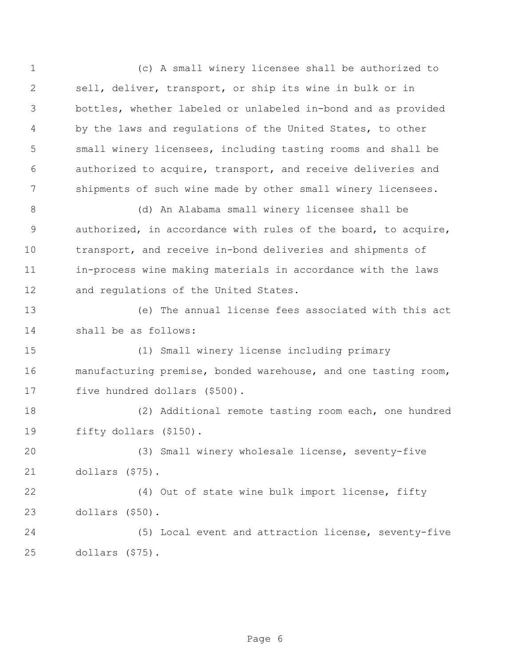(c) A small winery licensee shall be authorized to sell, deliver, transport, or ship its wine in bulk or in bottles, whether labeled or unlabeled in-bond and as provided by the laws and regulations of the United States, to other small winery licensees, including tasting rooms and shall be authorized to acquire, transport, and receive deliveries and shipments of such wine made by other small winery licensees. (d) An Alabama small winery licensee shall be authorized, in accordance with rules of the board, to acquire, transport, and receive in-bond deliveries and shipments of in-process wine making materials in accordance with the laws and regulations of the United States. (e) The annual license fees associated with this act shall be as follows: (1) Small winery license including primary manufacturing premise, bonded warehouse, and one tasting room, five hundred dollars (\$500). (2) Additional remote tasting room each, one hundred fifty dollars (\$150). (3) Small winery wholesale license, seventy-five dollars (\$75). (4) Out of state wine bulk import license, fifty dollars (\$50). (5) Local event and attraction license, seventy-five dollars (\$75).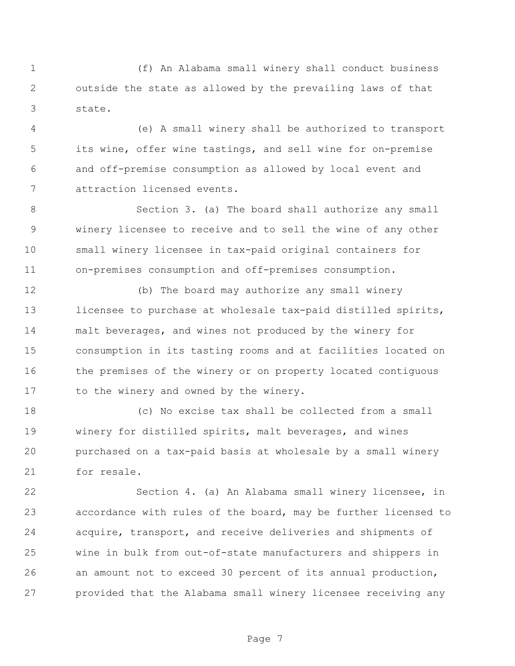(f) An Alabama small winery shall conduct business outside the state as allowed by the prevailing laws of that state.

 (e) A small winery shall be authorized to transport its wine, offer wine tastings, and sell wine for on-premise and off-premise consumption as allowed by local event and attraction licensed events.

 Section 3. (a) The board shall authorize any small winery licensee to receive and to sell the wine of any other small winery licensee in tax-paid original containers for on-premises consumption and off-premises consumption.

 (b) The board may authorize any small winery licensee to purchase at wholesale tax-paid distilled spirits, malt beverages, and wines not produced by the winery for consumption in its tasting rooms and at facilities located on the premises of the winery or on property located contiguous 17 to the winery and owned by the winery.

 (c) No excise tax shall be collected from a small winery for distilled spirits, malt beverages, and wines purchased on a tax-paid basis at wholesale by a small winery for resale.

 Section 4. (a) An Alabama small winery licensee, in accordance with rules of the board, may be further licensed to acquire, transport, and receive deliveries and shipments of wine in bulk from out-of-state manufacturers and shippers in an amount not to exceed 30 percent of its annual production, provided that the Alabama small winery licensee receiving any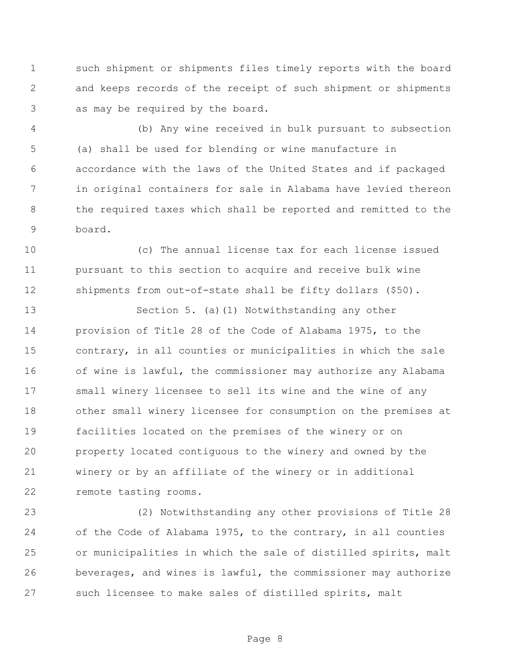such shipment or shipments files timely reports with the board and keeps records of the receipt of such shipment or shipments as may be required by the board.

 (b) Any wine received in bulk pursuant to subsection (a) shall be used for blending or wine manufacture in accordance with the laws of the United States and if packaged in original containers for sale in Alabama have levied thereon 8 the required taxes which shall be reported and remitted to the board.

 (c) The annual license tax for each license issued pursuant to this section to acquire and receive bulk wine shipments from out-of-state shall be fifty dollars (\$50).

 Section 5. (a)(1) Notwithstanding any other provision of Title 28 of the Code of Alabama 1975, to the contrary, in all counties or municipalities in which the sale of wine is lawful, the commissioner may authorize any Alabama small winery licensee to sell its wine and the wine of any other small winery licensee for consumption on the premises at facilities located on the premises of the winery or on property located contiguous to the winery and owned by the winery or by an affiliate of the winery or in additional remote tasting rooms.

 (2) Notwithstanding any other provisions of Title 28 of the Code of Alabama 1975, to the contrary, in all counties or municipalities in which the sale of distilled spirits, malt beverages, and wines is lawful, the commissioner may authorize such licensee to make sales of distilled spirits, malt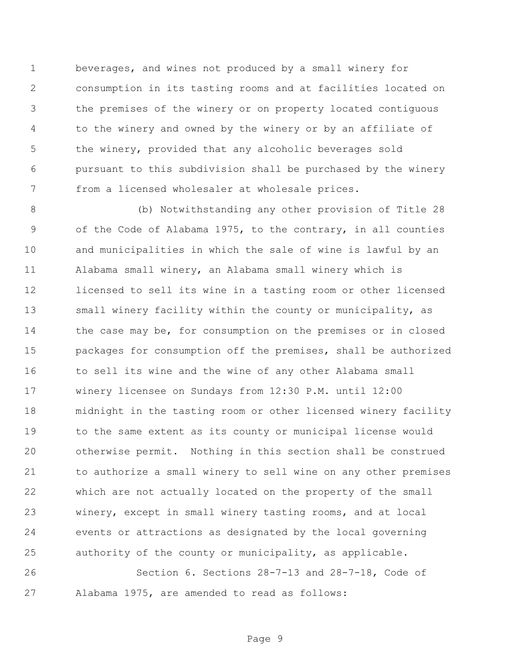beverages, and wines not produced by a small winery for consumption in its tasting rooms and at facilities located on the premises of the winery or on property located contiguous to the winery and owned by the winery or by an affiliate of the winery, provided that any alcoholic beverages sold pursuant to this subdivision shall be purchased by the winery from a licensed wholesaler at wholesale prices.

 (b) Notwithstanding any other provision of Title 28 of the Code of Alabama 1975, to the contrary, in all counties and municipalities in which the sale of wine is lawful by an Alabama small winery, an Alabama small winery which is licensed to sell its wine in a tasting room or other licensed small winery facility within the county or municipality, as 14 the case may be, for consumption on the premises or in closed packages for consumption off the premises, shall be authorized to sell its wine and the wine of any other Alabama small winery licensee on Sundays from 12:30 P.M. until 12:00 midnight in the tasting room or other licensed winery facility to the same extent as its county or municipal license would otherwise permit. Nothing in this section shall be construed to authorize a small winery to sell wine on any other premises which are not actually located on the property of the small winery, except in small winery tasting rooms, and at local events or attractions as designated by the local governing authority of the county or municipality, as applicable.

 Section 6. Sections 28-7-13 and 28-7-18, Code of Alabama 1975, are amended to read as follows:

Page 9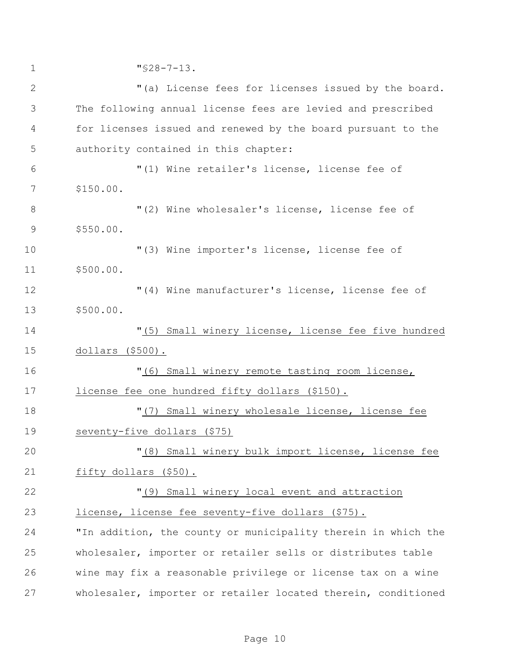| $\mathbf 1$    | $"$ \$28-7-13.                                                |
|----------------|---------------------------------------------------------------|
| $\mathbf{2}$   | "(a) License fees for licenses issued by the board.           |
| 3              | The following annual license fees are levied and prescribed   |
| 4              | for licenses issued and renewed by the board pursuant to the  |
| 5              | authority contained in this chapter:                          |
| 6              | "(1) Wine retailer's license, license fee of                  |
| 7              | \$150.00.                                                     |
| 8              | "(2) Wine wholesaler's license, license fee of                |
| $\overline{9}$ | \$550.00.                                                     |
| 10             | "(3) Wine importer's license, license fee of                  |
| 11             | \$500.00.                                                     |
| 12             | "(4) Wine manufacturer's license, license fee of              |
| 13             | \$500.00.                                                     |
| 14             | "(5) Small winery license, license fee five hundred           |
| 15             | dollars (\$500).                                              |
| 16             | "(6) Small winery remote tasting room license,                |
| 17             | license fee one hundred fifty dollars (\$150).                |
| 18             | "(7) Small winery wholesale license, license fee              |
| 19             | seventy-five dollars (\$75)                                   |
| 20             | "(8) Small winery bulk import license, license fee            |
| 21             | fifty dollars (\$50).                                         |
| 22             | "(9) Small winery local event and attraction                  |
| 23             | license, license fee seventy-five dollars (\$75).             |
| 24             | "In addition, the county or municipality therein in which the |
| 25             | wholesaler, importer or retailer sells or distributes table   |
| 26             | wine may fix a reasonable privilege or license tax on a wine  |
| 27             | wholesaler, importer or retailer located therein, conditioned |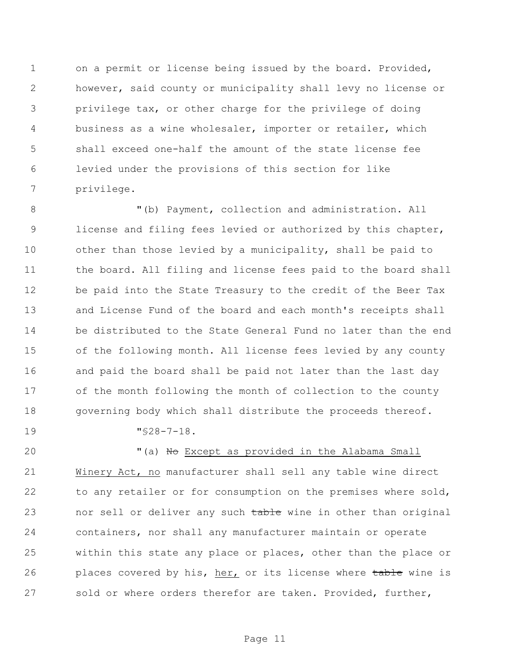1 on a permit or license being issued by the board. Provided, however, said county or municipality shall levy no license or privilege tax, or other charge for the privilege of doing business as a wine wholesaler, importer or retailer, which shall exceed one-half the amount of the state license fee levied under the provisions of this section for like privilege.

8 "(b) Payment, collection and administration. All license and filing fees levied or authorized by this chapter, other than those levied by a municipality, shall be paid to the board. All filing and license fees paid to the board shall be paid into the State Treasury to the credit of the Beer Tax and License Fund of the board and each month's receipts shall be distributed to the State General Fund no later than the end of the following month. All license fees levied by any county 16 and paid the board shall be paid not later than the last day of the month following the month of collection to the county 18 governing body which shall distribute the proceeds thereof.

"§28-7-18.

20 "(a) No Except as provided in the Alabama Small Winery Act, no manufacturer shall sell any table wine direct to any retailer or for consumption on the premises where sold, 23 nor sell or deliver any such table wine in other than original containers, nor shall any manufacturer maintain or operate within this state any place or places, other than the place or 26 places covered by his, her, or its license where table wine is sold or where orders therefor are taken. Provided, further,

Page 11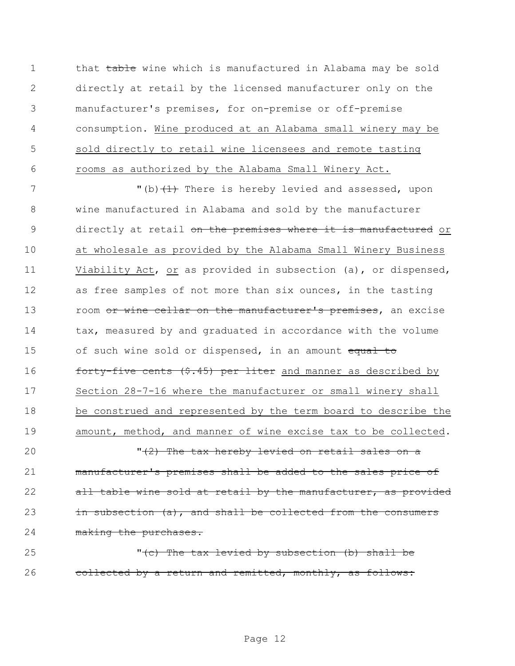1 that table wine which is manufactured in Alabama may be sold directly at retail by the licensed manufacturer only on the manufacturer's premises, for on-premise or off-premise consumption. Wine produced at an Alabama small winery may be sold directly to retail wine licensees and remote tasting rooms as authorized by the Alabama Small Winery Act.

7 "(b) (1) There is hereby levied and assessed, upon 8 wine manufactured in Alabama and sold by the manufacturer 9 directly at retail on the premises where it is manufactured or 10 at wholesale as provided by the Alabama Small Winery Business 11 Viability Act, or as provided in subsection (a), or dispensed, 12 as free samples of not more than six ounces, in the tasting 13 room or wine cellar on the manufacturer's premises, an excise 14 tax, measured by and graduated in accordance with the volume 15 of such wine sold or dispensed, in an amount equal to 16 **forty-five cents (\$.45) per liter** and manner as described by 17 Section 28-7-16 where the manufacturer or small winery shall 18 be construed and represented by the term board to describe the 19 amount, method, and manner of wine excise tax to be collected.

20  $\sqrt{(2)}$  The tax hereby levied on retail sales on a 21 manufacturer's premises shall be added to the sales price of 22 all table wine sold at retail by the manufacturer, as provided 23 in subsection (a), and shall be collected from the consumers 24 making the purchases.

25 "(c) The tax levied by subsection (b) shall be 26 collected by a return and remitted, monthly, as follows: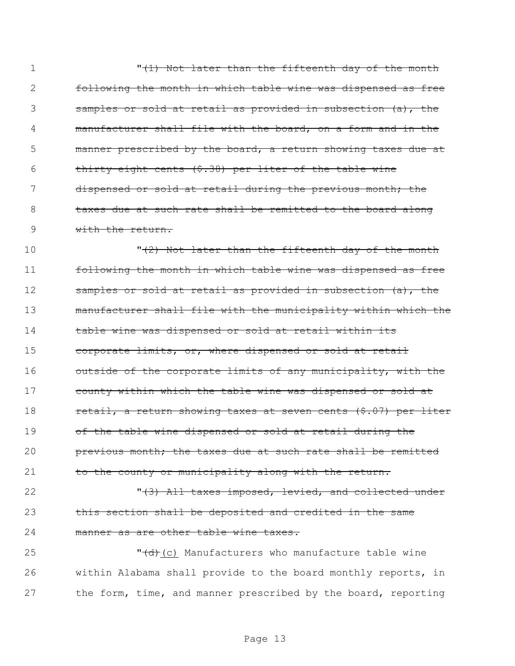1 **1** T(1) Not later than the fifteenth day of the month 2 following the month in which table wine was dispensed as free 3 samples or sold at retail as provided in subsection (a), the 4 manufacturer shall file with the board, on a form and in the 5 manner prescribed by the board, a return showing taxes due at 6 thirty-eight cents  $(\hat{S}.38)$  per liter of the table wine 7 dispensed or sold at retail during the previous month; the 8 taxes due at such rate shall be remitted to the board along 9 with the return.

10  $\sqrt{(2)}$  Not later than the fifteenth day of the month 11 following the month in which table wine was dispensed as free 12 samples or sold at retail as provided in subsection (a), the 13 manufacturer shall file with the municipality within which the 14 table wine was dispensed or sold at retail within its 15 corporate limits, or, where dispensed or sold at retail 16 outside of the corporate limits of any municipality, with the 17 county within which the table wine was dispensed or sold at 18 retail, a return showing taxes at seven cents (\$.07) per liter 19 of the table wine dispensed or sold at retail during the 20 previous month; the taxes due at such rate shall be remitted 21 to the county or municipality along with the return.

22 "(3) All taxes imposed, levied, and collected under 23 this section shall be deposited and credited in the same 24 manner as are other table wine taxes.

25 **" (c)** Manufacturers who manufacture table wine 26 within Alabama shall provide to the board monthly reports, in 27 the form, time, and manner prescribed by the board, reporting